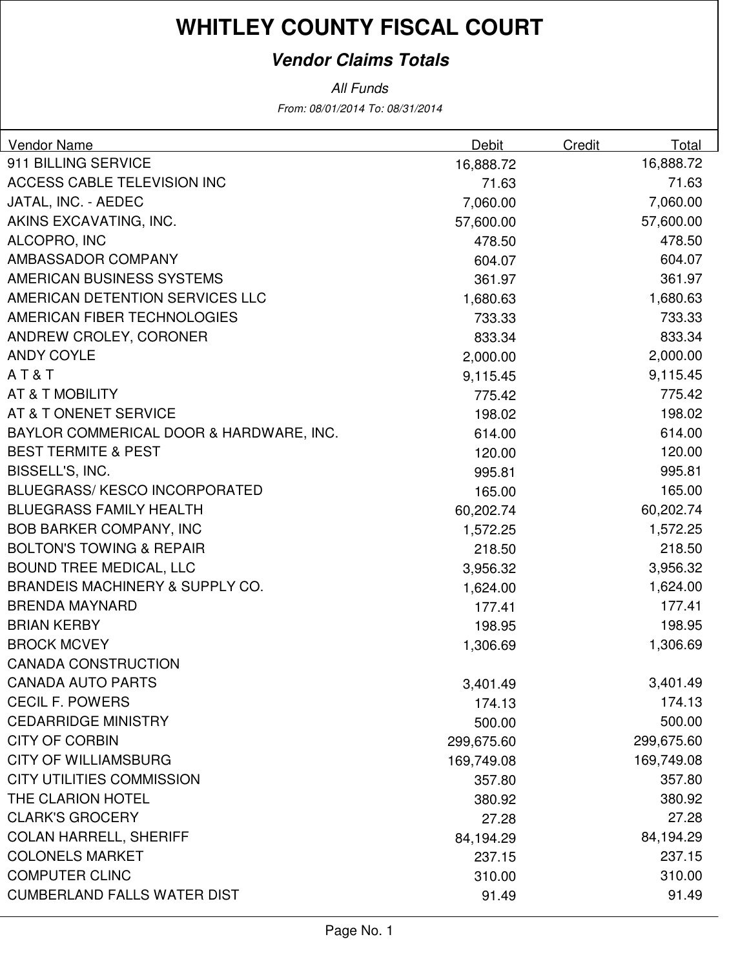### **Vendor Claims Totals**

From: 08/01/2014 To: 08/31/2014 All Funds

| Vendor Name                                | Debit      | Credit | Total      |
|--------------------------------------------|------------|--------|------------|
| 911 BILLING SERVICE                        | 16,888.72  |        | 16,888.72  |
| ACCESS CABLE TELEVISION INC                | 71.63      |        | 71.63      |
| JATAL, INC. - AEDEC                        | 7,060.00   |        | 7,060.00   |
| AKINS EXCAVATING, INC.                     | 57,600.00  |        | 57,600.00  |
| ALCOPRO, INC                               | 478.50     |        | 478.50     |
| AMBASSADOR COMPANY                         | 604.07     |        | 604.07     |
| AMERICAN BUSINESS SYSTEMS                  | 361.97     |        | 361.97     |
| AMERICAN DETENTION SERVICES LLC            | 1,680.63   |        | 1,680.63   |
| AMERICAN FIBER TECHNOLOGIES                | 733.33     |        | 733.33     |
| ANDREW CROLEY, CORONER                     | 833.34     |        | 833.34     |
| <b>ANDY COYLE</b>                          | 2,000.00   |        | 2,000.00   |
| AT&T                                       | 9,115.45   |        | 9,115.45   |
| AT & T MOBILITY                            | 775.42     |        | 775.42     |
| AT & T ONENET SERVICE                      | 198.02     |        | 198.02     |
| BAYLOR COMMERICAL DOOR & HARDWARE, INC.    | 614.00     |        | 614.00     |
| <b>BEST TERMITE &amp; PEST</b>             | 120.00     |        | 120.00     |
| BISSELL'S, INC.                            | 995.81     |        | 995.81     |
| <b>BLUEGRASS/KESCO INCORPORATED</b>        | 165.00     |        | 165.00     |
| <b>BLUEGRASS FAMILY HEALTH</b>             | 60,202.74  |        | 60,202.74  |
| <b>BOB BARKER COMPANY, INC</b>             | 1,572.25   |        | 1,572.25   |
| <b>BOLTON'S TOWING &amp; REPAIR</b>        | 218.50     |        | 218.50     |
| <b>BOUND TREE MEDICAL, LLC</b>             | 3,956.32   |        | 3,956.32   |
| <b>BRANDEIS MACHINERY &amp; SUPPLY CO.</b> | 1,624.00   |        | 1,624.00   |
| <b>BRENDA MAYNARD</b>                      | 177.41     |        | 177.41     |
| <b>BRIAN KERBY</b>                         | 198.95     |        | 198.95     |
| <b>BROCK MCVEY</b>                         | 1,306.69   |        | 1,306.69   |
| <b>CANADA CONSTRUCTION</b>                 |            |        |            |
| <b>CANADA AUTO PARTS</b>                   | 3,401.49   |        | 3,401.49   |
| <b>CECIL F. POWERS</b>                     | 174.13     |        | 174.13     |
| <b>CEDARRIDGE MINISTRY</b>                 | 500.00     |        | 500.00     |
| <b>CITY OF CORBIN</b>                      | 299,675.60 |        | 299,675.60 |
| <b>CITY OF WILLIAMSBURG</b>                | 169,749.08 |        | 169,749.08 |
| <b>CITY UTILITIES COMMISSION</b>           | 357.80     |        | 357.80     |
| THE CLARION HOTEL                          | 380.92     |        | 380.92     |
| <b>CLARK'S GROCERY</b>                     | 27.28      |        | 27.28      |
| <b>COLAN HARRELL, SHERIFF</b>              | 84,194.29  |        | 84,194.29  |
| <b>COLONELS MARKET</b>                     | 237.15     |        | 237.15     |
| <b>COMPUTER CLINC</b>                      | 310.00     |        | 310.00     |
| <b>CUMBERLAND FALLS WATER DIST</b>         | 91.49      |        | 91.49      |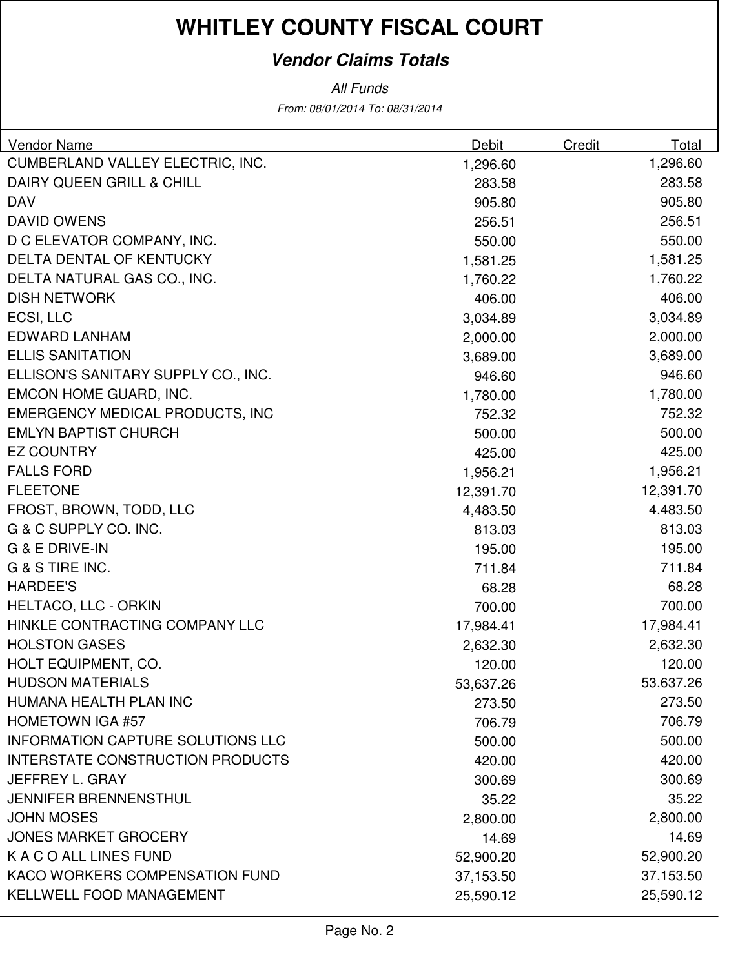### **Vendor Claims Totals**

All Funds

From: 08/01/2014 To: 08/31/2014

| <b>Vendor Name</b>                       | Debit     | Credit | Total     |
|------------------------------------------|-----------|--------|-----------|
| CUMBERLAND VALLEY ELECTRIC, INC.         | 1,296.60  |        | 1,296.60  |
| <b>DAIRY QUEEN GRILL &amp; CHILL</b>     | 283.58    |        | 283.58    |
| <b>DAV</b>                               | 905.80    |        | 905.80    |
| <b>DAVID OWENS</b>                       | 256.51    |        | 256.51    |
| D C ELEVATOR COMPANY, INC.               | 550.00    |        | 550.00    |
| DELTA DENTAL OF KENTUCKY                 | 1,581.25  |        | 1,581.25  |
| DELTA NATURAL GAS CO., INC.              | 1,760.22  |        | 1,760.22  |
| <b>DISH NETWORK</b>                      | 406.00    |        | 406.00    |
| ECSI, LLC                                | 3,034.89  |        | 3,034.89  |
| <b>EDWARD LANHAM</b>                     | 2,000.00  |        | 2,000.00  |
| <b>ELLIS SANITATION</b>                  | 3,689.00  |        | 3,689.00  |
| ELLISON'S SANITARY SUPPLY CO., INC.      | 946.60    |        | 946.60    |
| EMCON HOME GUARD, INC.                   | 1,780.00  |        | 1,780.00  |
| <b>EMERGENCY MEDICAL PRODUCTS, INC</b>   | 752.32    |        | 752.32    |
| <b>EMLYN BAPTIST CHURCH</b>              | 500.00    |        | 500.00    |
| <b>EZ COUNTRY</b>                        | 425.00    |        | 425.00    |
| <b>FALLS FORD</b>                        | 1,956.21  |        | 1,956.21  |
| <b>FLEETONE</b>                          | 12,391.70 |        | 12,391.70 |
| FROST, BROWN, TODD, LLC                  | 4,483.50  |        | 4,483.50  |
| G & C SUPPLY CO. INC.                    | 813.03    |        | 813.03    |
| G & E DRIVE-IN                           | 195.00    |        | 195.00    |
| G & S TIRE INC.                          | 711.84    |        | 711.84    |
| <b>HARDEE'S</b>                          | 68.28     |        | 68.28     |
| <b>HELTACO, LLC - ORKIN</b>              | 700.00    |        | 700.00    |
| HINKLE CONTRACTING COMPANY LLC           | 17,984.41 |        | 17,984.41 |
| <b>HOLSTON GASES</b>                     | 2,632.30  |        | 2,632.30  |
| HOLT EQUIPMENT, CO.                      | 120.00    |        | 120.00    |
| <b>HUDSON MATERIALS</b>                  | 53,637.26 |        | 53,637.26 |
| HUMANA HEALTH PLAN INC                   | 273.50    |        | 273.50    |
| <b>HOMETOWN IGA #57</b>                  | 706.79    |        | 706.79    |
| <b>INFORMATION CAPTURE SOLUTIONS LLC</b> | 500.00    |        | 500.00    |
| <b>INTERSTATE CONSTRUCTION PRODUCTS</b>  | 420.00    |        | 420.00    |
| JEFFREY L. GRAY                          | 300.69    |        | 300.69    |
| <b>JENNIFER BRENNENSTHUL</b>             | 35.22     |        | 35.22     |
| <b>JOHN MOSES</b>                        | 2,800.00  |        | 2,800.00  |
| <b>JONES MARKET GROCERY</b>              | 14.69     |        | 14.69     |
| K A C O ALL LINES FUND                   | 52,900.20 |        | 52,900.20 |
| KACO WORKERS COMPENSATION FUND           | 37,153.50 |        | 37,153.50 |
| <b>KELLWELL FOOD MANAGEMENT</b>          | 25,590.12 |        | 25,590.12 |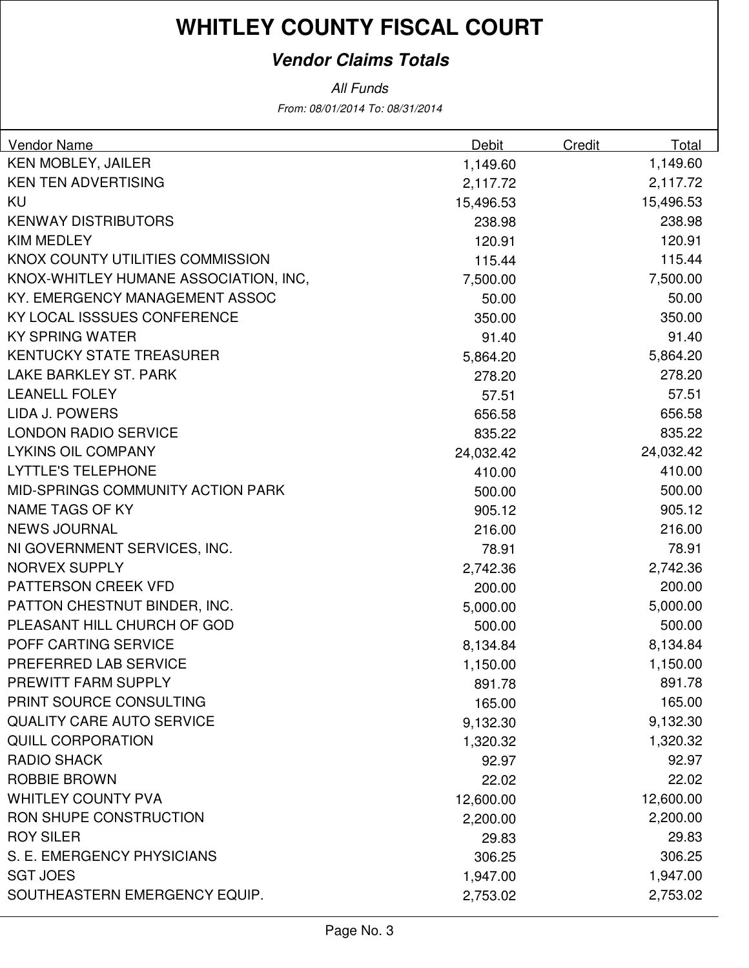### **Vendor Claims Totals**

From: 08/01/2014 To: 08/31/2014 All Funds

| Vendor Name                           | Debit     | Credit | Total     |
|---------------------------------------|-----------|--------|-----------|
| KEN MOBLEY, JAILER                    | 1,149.60  |        | 1,149.60  |
| <b>KEN TEN ADVERTISING</b>            | 2,117.72  |        | 2,117.72  |
| KU                                    | 15,496.53 |        | 15,496.53 |
| <b>KENWAY DISTRIBUTORS</b>            | 238.98    |        | 238.98    |
| <b>KIM MEDLEY</b>                     | 120.91    |        | 120.91    |
| KNOX COUNTY UTILITIES COMMISSION      | 115.44    |        | 115.44    |
| KNOX-WHITLEY HUMANE ASSOCIATION, INC, | 7,500.00  |        | 7,500.00  |
| KY. EMERGENCY MANAGEMENT ASSOC        | 50.00     |        | 50.00     |
| KY LOCAL ISSSUES CONFERENCE           | 350.00    |        | 350.00    |
| <b>KY SPRING WATER</b>                | 91.40     |        | 91.40     |
| <b>KENTUCKY STATE TREASURER</b>       | 5,864.20  |        | 5,864.20  |
| LAKE BARKLEY ST. PARK                 | 278.20    |        | 278.20    |
| <b>LEANELL FOLEY</b>                  | 57.51     |        | 57.51     |
| <b>LIDA J. POWERS</b>                 | 656.58    |        | 656.58    |
| <b>LONDON RADIO SERVICE</b>           | 835.22    |        | 835.22    |
| <b>LYKINS OIL COMPANY</b>             | 24,032.42 |        | 24,032.42 |
| <b>LYTTLE'S TELEPHONE</b>             | 410.00    |        | 410.00    |
| MID-SPRINGS COMMUNITY ACTION PARK     | 500.00    |        | 500.00    |
| <b>NAME TAGS OF KY</b>                | 905.12    |        | 905.12    |
| <b>NEWS JOURNAL</b>                   | 216.00    |        | 216.00    |
| NI GOVERNMENT SERVICES, INC.          | 78.91     |        | 78.91     |
| NORVEX SUPPLY                         | 2,742.36  |        | 2,742.36  |
| PATTERSON CREEK VFD                   | 200.00    |        | 200.00    |
| PATTON CHESTNUT BINDER, INC.          | 5,000.00  |        | 5,000.00  |
| PLEASANT HILL CHURCH OF GOD           | 500.00    |        | 500.00    |
| POFF CARTING SERVICE                  | 8,134.84  |        | 8,134.84  |
| PREFERRED LAB SERVICE                 | 1,150.00  |        | 1,150.00  |
| PREWITT FARM SUPPLY                   | 891.78    |        | 891.78    |
| PRINT SOURCE CONSULTING               | 165.00    |        | 165.00    |
| <b>QUALITY CARE AUTO SERVICE</b>      | 9,132.30  |        | 9,132.30  |
| <b>QUILL CORPORATION</b>              | 1,320.32  |        | 1,320.32  |
| <b>RADIO SHACK</b>                    | 92.97     |        | 92.97     |
| <b>ROBBIE BROWN</b>                   | 22.02     |        | 22.02     |
| <b>WHITLEY COUNTY PVA</b>             | 12,600.00 |        | 12,600.00 |
| RON SHUPE CONSTRUCTION                | 2,200.00  |        | 2,200.00  |
| <b>ROY SILER</b>                      | 29.83     |        | 29.83     |
| S. E. EMERGENCY PHYSICIANS            | 306.25    |        | 306.25    |
| <b>SGT JOES</b>                       | 1,947.00  |        | 1,947.00  |
| SOUTHEASTERN EMERGENCY EQUIP.         | 2,753.02  |        | 2,753.02  |